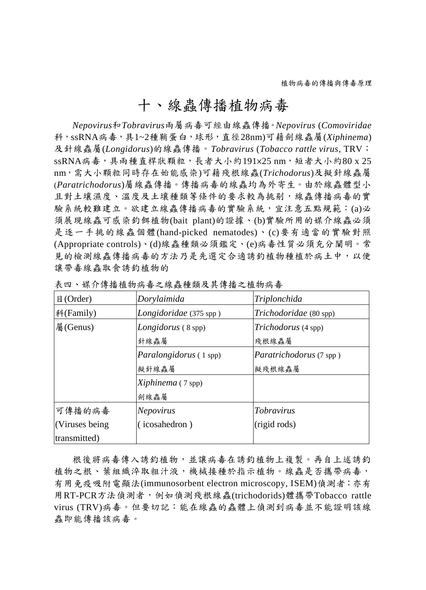## 十、線蟲傳播植物病毒

*Nepovirus*和*Tobravirus*兩屬病毒可經由線蟲傳播。*Nepovirus* (*Comoviridae* 科,ssRNA病毒,具1~2種鞘蛋白,球形,直徑28nm)可藉劍線蟲屬(*Xiphinema*) 及針線蟲屬(*Longidorus*)的線蟲傳播。*Tobravirus* (*Tobacco rattle virus*, TRV; ssRNA病毒,具兩種直桿狀顆粒,長者大小約191×25 nm,短者大小約80 x 25 nm,需大小顆粒同時存在始能感染)可藉殘根線蟲(*Trichodorus*)及擬針線蟲屬 (*Paratrichodorus*)屬線蟲傳播。傳播病毒的線蟲均為外寄生。由於線蟲體型小 且對土壤濕度、溫度及土壤種類等條件的要求較為挑剔,線蟲傳播病毒的實 驗系統較難建立。欲建立線蟲傳播病毒的實驗系統,宜注意五點規範:(a)必 須展現線蟲可感染釣餌植物(bait plant)的證據、(b)實驗所用的媒介線蟲必須 是逐一手挑的線蟲個體(hand-picked nematodes)、(c)要有適當的實驗對照 (Appropriate controls)、(d)線蟲種類必須鑑定、(e)病毒性質必須充分闡明。常 見的檢測線蟲傳播病毒的方法乃是先選定合適誘釣植物種植於病土中,以便 讓帶毒線蟲取食誘釣植物的

| 目(Order)        | Dorylaimida                   | Triplonchida                   |
|-----------------|-------------------------------|--------------------------------|
| 科(Family)       | Longidoridae (375 spp)        | Trichodoridae (80 spp)         |
| 屬(Genus)        | <i>Longidorus</i> (8 spp)     | Trichodorus (4 spp)            |
|                 | 針線蟲屬                          | 殘根線蟲屬                          |
|                 | <i>Paralongidorus</i> (1 spp) | <i>Paratrichodorus</i> (7 spp) |
|                 | 擬針線蟲屬                         | 擬殘根線蟲屬                         |
|                 | Xiphinema (7 spp)             |                                |
|                 | 劍線蟲屬                          |                                |
| 可傳播的病毒          | Nepovirus                     | <i>Tobravirus</i>              |
| (Viruses being) | (icosahedron)                 | (rigid rods)                   |
| transmitted)    |                               |                                |

表四、媒介傳播植物病毒之線蟲種類及其傳播之植物病毒

根後將病毒傳入誘釣植物,並讓病毒在誘釣植物上複製。再自上述誘釣 植物之根、葉組織淬取粗汁液,機械接種於指示植物。線蟲是否攜帶病毒, 有用免疫吸附電顯法(immunosorbent electron microscopy, ISEM)偵測者;亦有 用RT-PCR方法偵測者,例如偵測殘根線蟲(trichodorids)體攜帶Tobacco rattle virus (TRV)病毒。但要切記:能在線蟲的蟲體上偵測到病毒並不能證明該線 蟲即能傳播該病毒。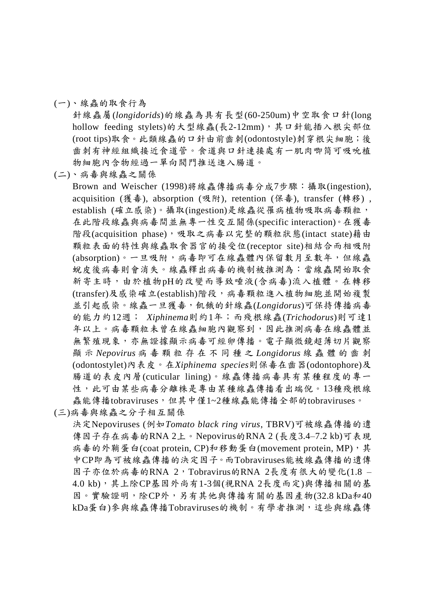## (一)、線蟲的取食行為

針線蟲屬(*longidorids*)的線蟲為具有長型(60-250um)中空取食口針(long hollow feeding stylets)的大型線蟲(長2-12mm),其口針能插入根尖部位 (root tips)取食。此類線蟲的口針由前齒刺(odontostyle)刺穿根尖細胞;後 齒刺有神經組織接近食道管。食道與口針連接處有一肌肉唧筒可吸吮植 物細胞內含物經過一單向閥門推送進入腸道。

(二)、病毒與線蟲之關係

Brown and Weischer (1998)將線蟲傳播病毒分成7步驟:攝取(ingestion), acquisition (獲毒), absorption (吸附), retention (保毒), transfer (轉移) , establish (確立感染)。攝取(ingestion)是線蟲從罹病植物吸取病毒顆粒, 在此階段線蟲與病毒間並無專一性交互關係(specific interaction)。在獲毒 階段(acquisition phase),吸取之病毒以完整的顆粒狀態(intact state)藉由 顆粒表面的特性與線蟲取食器官的接受位(receptor site)相結合而相吸附 (absorption)。一旦吸附,病毒即可在線蟲體內保留數月至數年,但線蟲 蛻皮後病毒則會消失。線蟲釋出病毒的機制被推測為:當線蟲開始取食 新寄主時,由於植物pH的改變而導致唾液(含病毒)流入植體。在轉移 (transfer)及感染確立(establish)階段,病毒顆粒進入植物細胞並開始複製 並引起感染。線蟲一旦獲毒,飢餓的針線蟲(*Longidorus*)可保持傳播病毒 的能力約12週; *Xiphinema*則約1年;而殘根線蟲(*Trichodorus*)則可達1 年以上。病毒顆粒未曾在線蟲細胞內觀察到,因此推測病毒在線蟲體並 無繁殖現象,亦無證據顯示病毒可經卵傳播。電子顯微鏡超薄切片觀察 顯 示 *Nepovirus* 病 毒 顆 粒 存 在 不 同 種 之 *Longidorus* 線 蟲 體 的 齒 刺 (odontostylet)內表皮。在*Xiphinema species*則保毒在齒器(odontophore)及 腸道的表皮內層(cuticular lining)。線蟲傳播病毒具有某種程度的專一 性,此可由某些病毒分離株是專由某種線蟲傳播看出端倪。13種殘根線 蟲能傳播tobraviruses,但其中僅1~2種線蟲能傳播全部的tobraviruses。

(三)病毒與線蟲之分子相互關係

決定Nepoviruses (例如*Tomato black ring virus*, TBRV)可被線蟲傳播的遺 傳因子存在病毒的RNA 2上。Nepovirus的RNA 2 (長度3.4–7.2 kb)可表現 病毒的外鞘蛋白(coat protein, CP)和移動蛋白(movement protein, MP), 其 中CP即為可被線蟲傳播的決定因子。而Tobraviruses能被線蟲傳播的遺傳 因子亦位於病毒的RNA  $2$ , Tobravirus的RNA  $2 \sqrt{5}$ 度有很大的變化 $(1.8 -$ 4.0 kb),其上除CP基因外尚有1-3個(視RNA 2長度而定)與傳播相關的基 因。實驗證明,除CP外,另有其他與傳播有關的基因產物(32.8 kDa和40 kDa蛋白)參與線蟲傳播Tobraviruses的機制。有學者推測,這些與線蟲傳